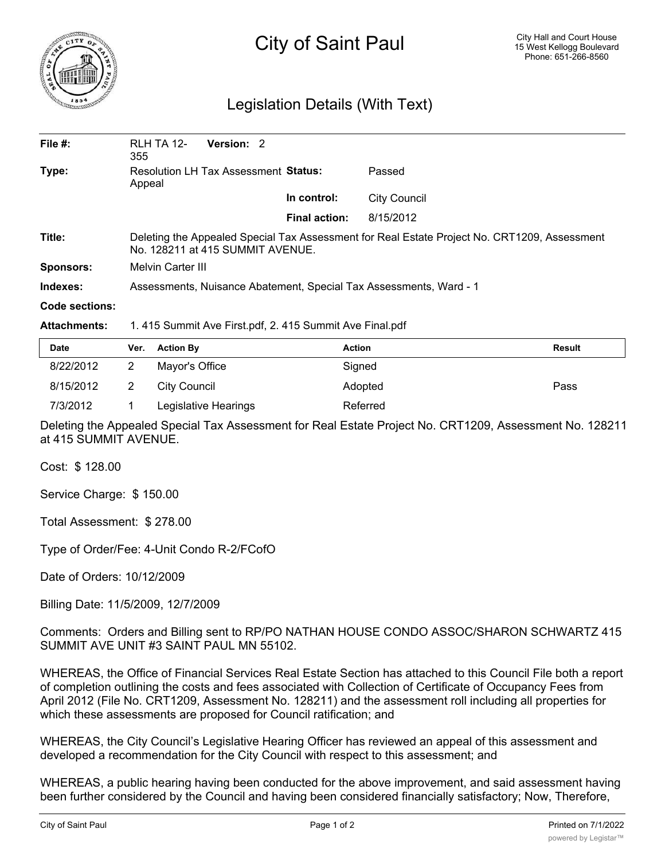

## City of Saint Paul

## Legislation Details (With Text)

| File $#$ :            | <b>RLH TA 12-</b><br>355                                                                                                         | Version: 2 |  |                      |              |  |  |
|-----------------------|----------------------------------------------------------------------------------------------------------------------------------|------------|--|----------------------|--------------|--|--|
| Type:                 | Resolution LH Tax Assessment Status:<br>Appeal                                                                                   |            |  |                      | Passed       |  |  |
|                       |                                                                                                                                  |            |  | In control:          | City Council |  |  |
|                       |                                                                                                                                  |            |  | <b>Final action:</b> | 8/15/2012    |  |  |
| Title:                | Deleting the Appealed Special Tax Assessment for Real Estate Project No. CRT1209, Assessment<br>No. 128211 at 415 SUMMIT AVENUE. |            |  |                      |              |  |  |
| <b>Sponsors:</b>      | <b>Melvin Carter III</b>                                                                                                         |            |  |                      |              |  |  |
| Indexes:              | Assessments, Nuisance Abatement, Special Tax Assessments, Ward - 1                                                               |            |  |                      |              |  |  |
| <b>Code sections:</b> |                                                                                                                                  |            |  |                      |              |  |  |
| <b>Attachments:</b>   | 1.415 Summit Ave First.pdf, 2.415 Summit Ave Final.pdf                                                                           |            |  |                      |              |  |  |

| <b>Date</b> | Ver. | <b>Action By</b>     | <b>Action</b> | <b>Result</b> |
|-------------|------|----------------------|---------------|---------------|
| 8/22/2012   |      | Mayor's Office       | Signed        |               |
| 8/15/2012   |      | City Council         | Adopted       | Pass          |
| 7/3/2012    |      | Legislative Hearings | Referred      |               |

Deleting the Appealed Special Tax Assessment for Real Estate Project No. CRT1209, Assessment No. 128211 at 415 SUMMIT AVENUE.

Cost: \$ 128.00

Service Charge: \$ 150.00

Total Assessment: \$ 278.00

Type of Order/Fee: 4-Unit Condo R-2/FCofO

Date of Orders: 10/12/2009

Billing Date: 11/5/2009, 12/7/2009

Comments: Orders and Billing sent to RP/PO NATHAN HOUSE CONDO ASSOC/SHARON SCHWARTZ 415 SUMMIT AVE UNIT #3 SAINT PAUL MN 55102.

WHEREAS, the Office of Financial Services Real Estate Section has attached to this Council File both a report of completion outlining the costs and fees associated with Collection of Certificate of Occupancy Fees from April 2012 (File No. CRT1209, Assessment No. 128211) and the assessment roll including all properties for which these assessments are proposed for Council ratification; and

WHEREAS, the City Council's Legislative Hearing Officer has reviewed an appeal of this assessment and developed a recommendation for the City Council with respect to this assessment; and

WHEREAS, a public hearing having been conducted for the above improvement, and said assessment having been further considered by the Council and having been considered financially satisfactory; Now, Therefore,